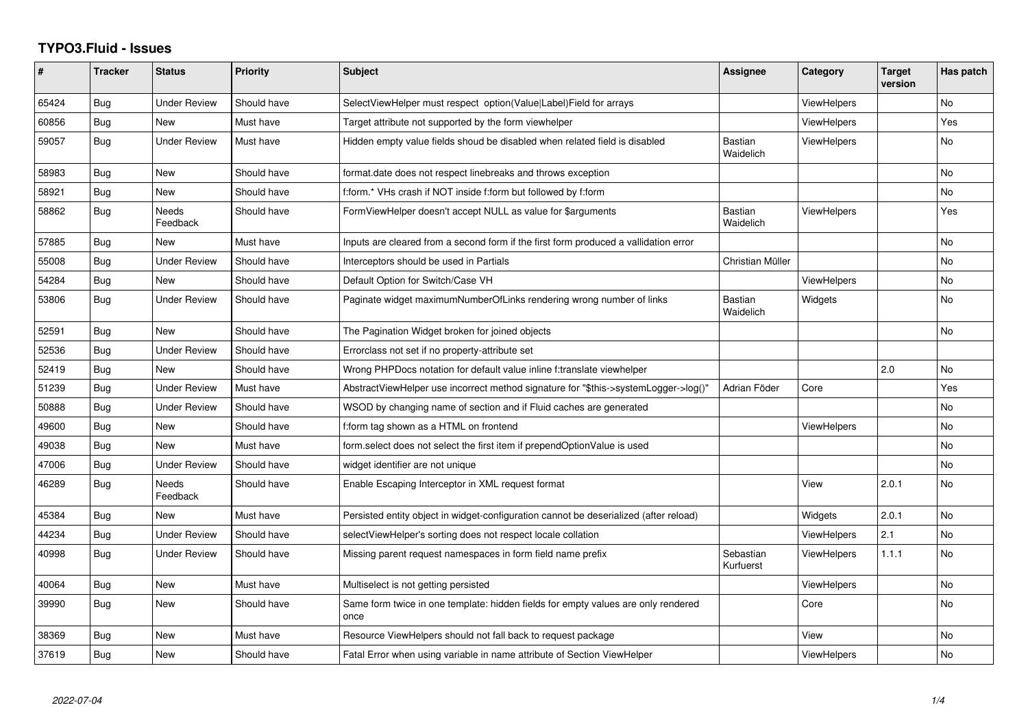## **TYPO3.Fluid - Issues**

| ∦     | <b>Tracker</b> | <b>Status</b>            | <b>Priority</b> | Subject                                                                                   | <b>Assignee</b>             | Category           | <b>Target</b><br>version | Has patch      |
|-------|----------------|--------------------------|-----------------|-------------------------------------------------------------------------------------------|-----------------------------|--------------------|--------------------------|----------------|
| 65424 | Bug            | <b>Under Review</b>      | Should have     | SelectViewHelper must respect option(Value Label)Field for arrays                         |                             | <b>ViewHelpers</b> |                          | <b>No</b>      |
| 60856 | Bug            | New                      | Must have       | Target attribute not supported by the form viewhelper                                     |                             | <b>ViewHelpers</b> |                          | Yes            |
| 59057 | Bug            | <b>Under Review</b>      | Must have       | Hidden empty value fields shoud be disabled when related field is disabled                | Bastian<br>Waidelich        | ViewHelpers        |                          | No             |
| 58983 | Bug            | <b>New</b>               | Should have     | format.date does not respect linebreaks and throws exception                              |                             |                    |                          | No             |
| 58921 | Bug            | New                      | Should have     | f:form.* VHs crash if NOT inside f:form but followed by f:form                            |                             |                    |                          | No             |
| 58862 | Bug            | <b>Needs</b><br>Feedback | Should have     | FormViewHelper doesn't accept NULL as value for \$arguments                               | <b>Bastian</b><br>Waidelich | <b>ViewHelpers</b> |                          | Yes            |
| 57885 | Bug            | New                      | Must have       | Inputs are cleared from a second form if the first form produced a vallidation error      |                             |                    |                          | No             |
| 55008 | Bug            | <b>Under Review</b>      | Should have     | Interceptors should be used in Partials                                                   | Christian Müller            |                    |                          | N <sub>o</sub> |
| 54284 | Bug            | New                      | Should have     | Default Option for Switch/Case VH                                                         |                             | <b>ViewHelpers</b> |                          | No             |
| 53806 | Bug            | <b>Under Review</b>      | Should have     | Paginate widget maximumNumberOfLinks rendering wrong number of links                      | Bastian<br>Waidelich        | Widgets            |                          | No             |
| 52591 | Bug            | <b>New</b>               | Should have     | The Pagination Widget broken for joined objects                                           |                             |                    |                          | No             |
| 52536 | Bug            | <b>Under Review</b>      | Should have     | Errorclass not set if no property-attribute set                                           |                             |                    |                          |                |
| 52419 | Bug            | New                      | Should have     | Wrong PHPDocs notation for default value inline f:translate viewhelper                    |                             |                    | 2.0                      | No             |
| 51239 | Bug            | <b>Under Review</b>      | Must have       | AbstractViewHelper use incorrect method signature for "\$this->systemLogger->log()"       | Adrian Föder                | Core               |                          | Yes            |
| 50888 | Bug            | <b>Under Review</b>      | Should have     | WSOD by changing name of section and if Fluid caches are generated                        |                             |                    |                          | No             |
| 49600 | Bug            | New                      | Should have     | f:form tag shown as a HTML on frontend                                                    |                             | ViewHelpers        |                          | No             |
| 49038 | Bug            | <b>New</b>               | Must have       | form.select does not select the first item if prependOptionValue is used                  |                             |                    |                          | No             |
| 47006 | Bug            | Under Review             | Should have     | widget identifier are not unique                                                          |                             |                    |                          | No             |
| 46289 | Bug            | Needs<br>Feedback        | Should have     | Enable Escaping Interceptor in XML request format                                         |                             | View               | 2.0.1                    | No             |
| 45384 | Bug            | <b>New</b>               | Must have       | Persisted entity object in widget-configuration cannot be deserialized (after reload)     |                             | Widgets            | 2.0.1                    | No             |
| 44234 | Bug            | <b>Under Review</b>      | Should have     | selectViewHelper's sorting does not respect locale collation                              |                             | ViewHelpers        | 2.1                      | No             |
| 40998 | Bug            | <b>Under Review</b>      | Should have     | Missing parent request namespaces in form field name prefix                               | Sebastian<br>Kurfuerst      | ViewHelpers        | 1.1.1                    | No.            |
| 40064 | Bug            | New                      | Must have       | Multiselect is not getting persisted                                                      |                             | <b>ViewHelpers</b> |                          | No             |
| 39990 | Bug            | New                      | Should have     | Same form twice in one template: hidden fields for empty values are only rendered<br>once |                             | Core               |                          | No             |
| 38369 | Bug            | New                      | Must have       | Resource ViewHelpers should not fall back to request package                              |                             | View               |                          | No             |
| 37619 | <b>Bug</b>     | New                      | Should have     | Fatal Error when using variable in name attribute of Section ViewHelper                   |                             | <b>ViewHelpers</b> |                          | No             |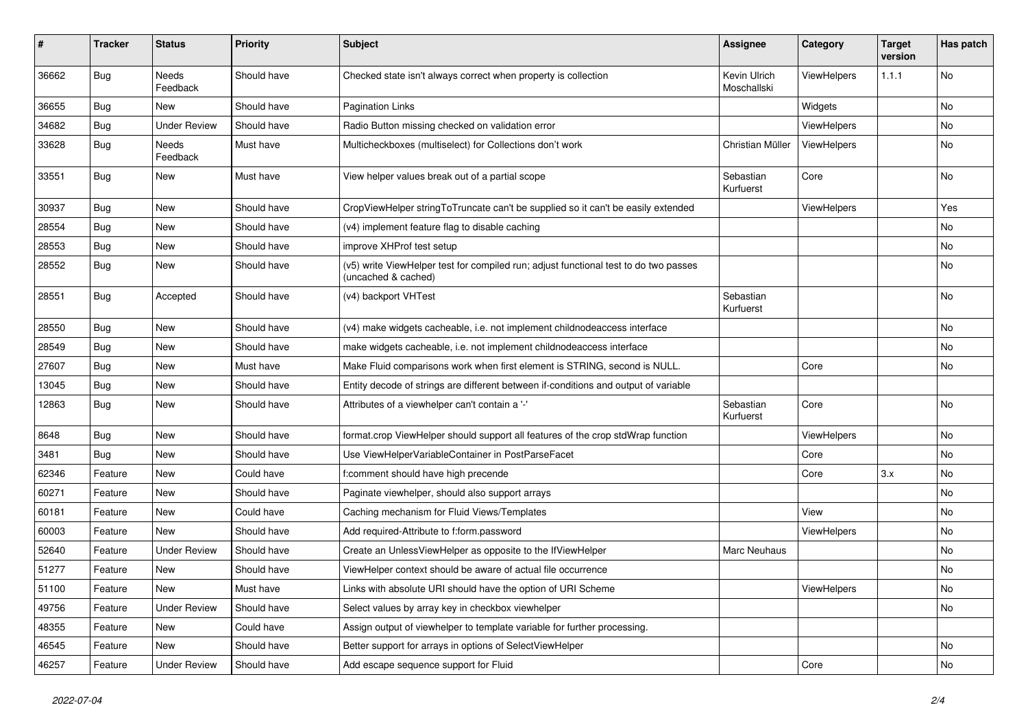| ∦     | <b>Tracker</b> | <b>Status</b>            | <b>Priority</b> | Subject                                                                                                     | <b>Assignee</b>             | Category    | <b>Target</b><br>version | Has patch |
|-------|----------------|--------------------------|-----------------|-------------------------------------------------------------------------------------------------------------|-----------------------------|-------------|--------------------------|-----------|
| 36662 | Bug            | <b>Needs</b><br>Feedback | Should have     | Checked state isn't always correct when property is collection                                              | Kevin Ulrich<br>Moschallski | ViewHelpers | 1.1.1                    | No        |
| 36655 | Bug            | New                      | Should have     | Pagination Links                                                                                            |                             | Widgets     |                          | No        |
| 34682 | Bug            | <b>Under Review</b>      | Should have     | Radio Button missing checked on validation error                                                            |                             | ViewHelpers |                          | No        |
| 33628 | Bug            | Needs<br>Feedback        | Must have       | Multicheckboxes (multiselect) for Collections don't work                                                    | Christian Müller            | ViewHelpers |                          | No        |
| 33551 | Bug            | New                      | Must have       | View helper values break out of a partial scope                                                             | Sebastian<br>Kurfuerst      | Core        |                          | No        |
| 30937 | Bug            | <b>New</b>               | Should have     | CropViewHelper stringToTruncate can't be supplied so it can't be easily extended                            |                             | ViewHelpers |                          | Yes       |
| 28554 | Bug            | New                      | Should have     | (v4) implement feature flag to disable caching                                                              |                             |             |                          | No        |
| 28553 | Bug            | New                      | Should have     | improve XHProf test setup                                                                                   |                             |             |                          | No        |
| 28552 | Bug            | New                      | Should have     | (v5) write ViewHelper test for compiled run; adjust functional test to do two passes<br>(uncached & cached) |                             |             |                          | No        |
| 28551 | Bug            | Accepted                 | Should have     | (v4) backport VHTest                                                                                        | Sebastian<br>Kurfuerst      |             |                          | No        |
| 28550 | Bug            | New                      | Should have     | (v4) make widgets cacheable, i.e. not implement childnodeaccess interface                                   |                             |             |                          | No        |
| 28549 | Bug            | <b>New</b>               | Should have     | make widgets cacheable, i.e. not implement childnodeaccess interface                                        |                             |             |                          | No.       |
| 27607 | Bug            | New                      | Must have       | Make Fluid comparisons work when first element is STRING, second is NULL.                                   |                             | Core        |                          | No        |
| 13045 | Bug            | New                      | Should have     | Entity decode of strings are different between if-conditions and output of variable                         |                             |             |                          |           |
| 12863 | Bug            | New                      | Should have     | Attributes of a viewhelper can't contain a '-'                                                              | Sebastian<br>Kurfuerst      | Core        |                          | No        |
| 8648  | Bug            | New                      | Should have     | format.crop ViewHelper should support all features of the crop stdWrap function                             |                             | ViewHelpers |                          | No        |
| 3481  | Bug            | New                      | Should have     | Use ViewHelperVariableContainer in PostParseFacet                                                           |                             | Core        |                          | No        |
| 62346 | Feature        | New                      | Could have      | f:comment should have high precende                                                                         |                             | Core        | 3.x                      | No        |
| 60271 | Feature        | New                      | Should have     | Paginate viewhelper, should also support arrays                                                             |                             |             |                          | No        |
| 60181 | Feature        | New                      | Could have      | Caching mechanism for Fluid Views/Templates                                                                 |                             | View        |                          | No        |
| 60003 | Feature        | New                      | Should have     | Add required-Attribute to f:form.password                                                                   |                             | ViewHelpers |                          | No        |
| 52640 | Feature        | <b>Under Review</b>      | Should have     | Create an UnlessViewHelper as opposite to the IfViewHelper                                                  | <b>Marc Neuhaus</b>         |             |                          | No        |
| 51277 | Feature        | New                      | Should have     | ViewHelper context should be aware of actual file occurrence                                                |                             |             |                          | No        |
| 51100 | Feature        | New                      | Must have       | Links with absolute URI should have the option of URI Scheme                                                |                             | ViewHelpers |                          | No        |
| 49756 | Feature        | <b>Under Review</b>      | Should have     | Select values by array key in checkbox viewhelper                                                           |                             |             |                          | No        |
| 48355 | Feature        | New                      | Could have      | Assign output of viewhelper to template variable for further processing.                                    |                             |             |                          |           |
| 46545 | Feature        | New                      | Should have     | Better support for arrays in options of SelectViewHelper                                                    |                             |             |                          | No        |
| 46257 | Feature        | <b>Under Review</b>      | Should have     | Add escape sequence support for Fluid                                                                       |                             | Core        |                          | No        |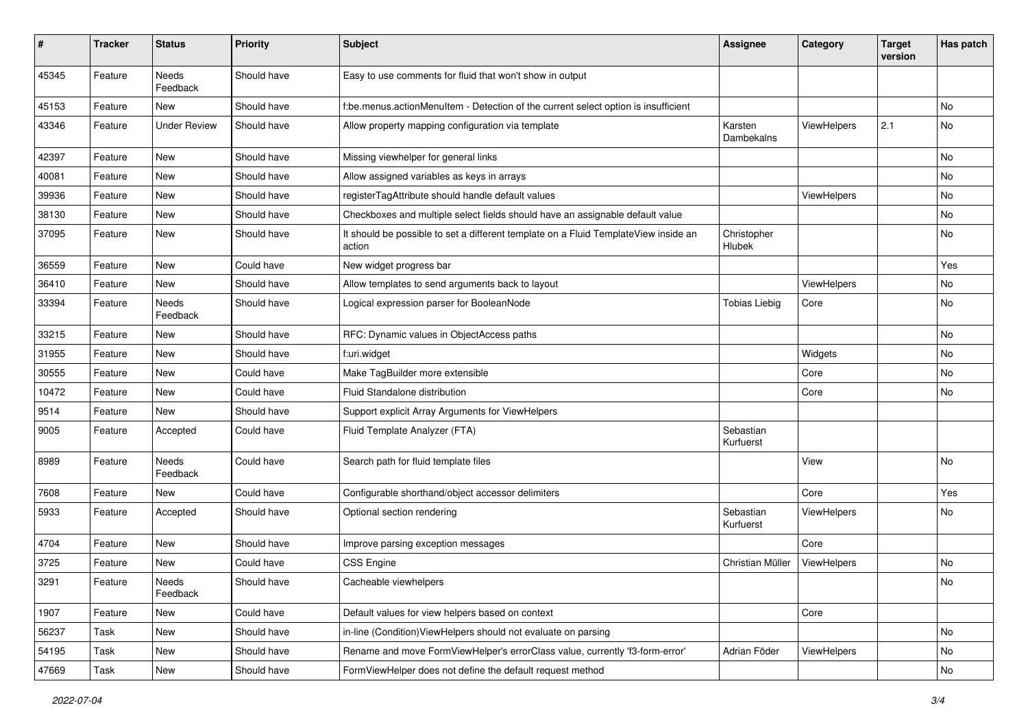| #     | <b>Tracker</b> | <b>Status</b>       | <b>Priority</b> | Subject                                                                                       | <b>Assignee</b>        | Category    | <b>Target</b><br>version | Has patch |
|-------|----------------|---------------------|-----------------|-----------------------------------------------------------------------------------------------|------------------------|-------------|--------------------------|-----------|
| 45345 | Feature        | Needs<br>Feedback   | Should have     | Easy to use comments for fluid that won't show in output                                      |                        |             |                          |           |
| 45153 | Feature        | New                 | Should have     | f:be.menus.actionMenuItem - Detection of the current select option is insufficient            |                        |             |                          | No        |
| 43346 | Feature        | <b>Under Review</b> | Should have     | Allow property mapping configuration via template                                             | Karsten<br>Dambekalns  | ViewHelpers | 2.1                      | No        |
| 42397 | Feature        | New                 | Should have     | Missing viewhelper for general links                                                          |                        |             |                          | <b>No</b> |
| 40081 | Feature        | New                 | Should have     | Allow assigned variables as keys in arrays                                                    |                        |             |                          | No        |
| 39936 | Feature        | New                 | Should have     | registerTagAttribute should handle default values                                             |                        | ViewHelpers |                          | No        |
| 38130 | Feature        | New                 | Should have     | Checkboxes and multiple select fields should have an assignable default value                 |                        |             |                          | No        |
| 37095 | Feature        | New                 | Should have     | It should be possible to set a different template on a Fluid TemplateView inside an<br>action | Christopher<br>Hlubek  |             |                          | No        |
| 36559 | Feature        | New                 | Could have      | New widget progress bar                                                                       |                        |             |                          | Yes       |
| 36410 | Feature        | New                 | Should have     | Allow templates to send arguments back to layout                                              |                        | ViewHelpers |                          | No        |
| 33394 | Feature        | Needs<br>Feedback   | Should have     | Logical expression parser for BooleanNode                                                     | <b>Tobias Liebig</b>   | Core        |                          | No        |
| 33215 | Feature        | New                 | Should have     | RFC: Dynamic values in ObjectAccess paths                                                     |                        |             |                          | No        |
| 31955 | Feature        | New                 | Should have     | f:uri.widget                                                                                  |                        | Widgets     |                          | No        |
| 30555 | Feature        | New                 | Could have      | Make TagBuilder more extensible                                                               |                        | Core        |                          | No        |
| 10472 | Feature        | New                 | Could have      | Fluid Standalone distribution                                                                 |                        | Core        |                          | No        |
| 9514  | Feature        | <b>New</b>          | Should have     | Support explicit Array Arguments for ViewHelpers                                              |                        |             |                          |           |
| 9005  | Feature        | Accepted            | Could have      | Fluid Template Analyzer (FTA)                                                                 | Sebastian<br>Kurfuerst |             |                          |           |
| 8989  | Feature        | Needs<br>Feedback   | Could have      | Search path for fluid template files                                                          |                        | View        |                          | No        |
| 7608  | Feature        | New                 | Could have      | Configurable shorthand/object accessor delimiters                                             |                        | Core        |                          | Yes       |
| 5933  | Feature        | Accepted            | Should have     | Optional section rendering                                                                    | Sebastian<br>Kurfuerst | ViewHelpers |                          | No        |
| 4704  | Feature        | New                 | Should have     | Improve parsing exception messages                                                            |                        | Core        |                          |           |
| 3725  | Feature        | New                 | Could have      | CSS Engine                                                                                    | Christian Müller       | ViewHelpers |                          | No        |
| 3291  | Feature        | Needs<br>Feedback   | Should have     | Cacheable viewhelpers                                                                         |                        |             |                          | No        |
| 1907  | Feature        | New                 | Could have      | Default values for view helpers based on context                                              |                        | Core        |                          |           |
| 56237 | Task           | New                 | Should have     | in-line (Condition) ViewHelpers should not evaluate on parsing                                |                        |             |                          | No        |
| 54195 | Task           | New                 | Should have     | Rename and move FormViewHelper's errorClass value, currently 'f3-form-error'                  | Adrian Föder           | ViewHelpers |                          | No        |
| 47669 | Task           | New                 | Should have     | FormViewHelper does not define the default request method                                     |                        |             |                          | No        |